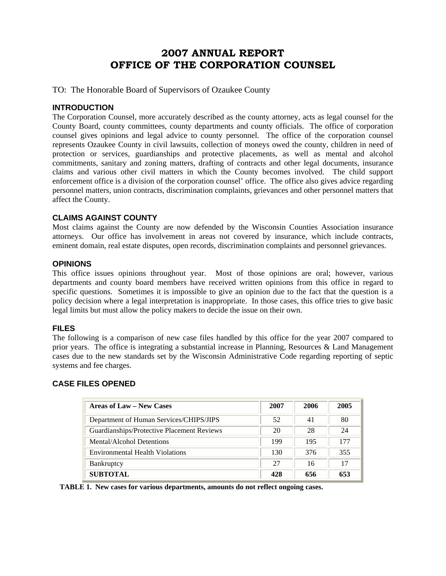## **2007 ANNUAL REPORT OFFICE OF THE CORPORATION COUNSEL**

TO: The Honorable Board of Supervisors of Ozaukee County

#### **INTRODUCTION**

The Corporation Counsel, more accurately described as the county attorney, acts as legal counsel for the County Board, county committees, county departments and county officials. The office of corporation counsel gives opinions and legal advice to county personnel. The office of the corporation counsel represents Ozaukee County in civil lawsuits, collection of moneys owed the county, children in need of protection or services, guardianships and protective placements, as well as mental and alcohol commitments, sanitary and zoning matters, drafting of contracts and other legal documents, insurance claims and various other civil matters in which the County becomes involved. The child support enforcement office is a division of the corporation counsel' office. The office also gives advice regarding personnel matters, union contracts, discrimination complaints, grievances and other personnel matters that affect the County.

#### **CLAIMS AGAINST COUNTY**

Most claims against the County are now defended by the Wisconsin Counties Association insurance attorneys. Our office has involvement in areas not covered by insurance, which include contracts, eminent domain, real estate disputes, open records, discrimination complaints and personnel grievances.

#### **OPINIONS**

This office issues opinions throughout year. Most of those opinions are oral; however, various departments and county board members have received written opinions from this office in regard to specific questions. Sometimes it is impossible to give an opinion due to the fact that the question is a policy decision where a legal interpretation is inappropriate. In those cases, this office tries to give basic legal limits but must allow the policy makers to decide the issue on their own.

#### **FILES**

The following is a comparison of new case files handled by this office for the year 2007 compared to prior years. The office is integrating a substantial increase in Planning, Resources & Land Management cases due to the new standards set by the Wisconsin Administrative Code regarding reporting of septic systems and fee charges.

#### **CASE FILES OPENED**

| Areas of Law – New Cases                   | 2007 | 2006 | 2005 |
|--------------------------------------------|------|------|------|
| Department of Human Services/CHIPS/JIPS    | 52   | 41   | 80   |
| Guardianships/Protective Placement Reviews | 20   | 28   | 24   |
| Mental/Alcohol Detentions                  | 199  | 195  | 177  |
| <b>Environmental Health Violations</b>     | 130  | 376  | 355  |
| Bankruptcy                                 | 27   | 16   | 17   |
| <b>SUBTOTAL</b>                            | 428  | 656  | 653  |

 **TABLE 1. New cases for various departments, amounts do not reflect ongoing cases.**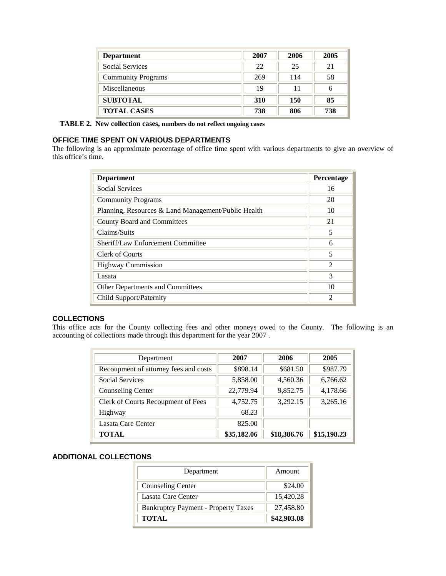| <b>Department</b>         | 2007 | 2006 | 2005 |
|---------------------------|------|------|------|
| Social Services           | 22   | 25   | 21   |
| <b>Community Programs</b> | 269  | 114  | 58   |
| Miscellaneous             | 19   | 11   | 6    |
| <b>SUBTOTAL</b>           | 310  | 150  | 85   |
| <b>TOTAL CASES</b>        | 738  | 806  | 738  |

 **TABLE 2. New collection cases, numbers do not reflect ongoing cases**

#### **OFFICE TIME SPENT ON VARIOUS DEPARTMENTS**

The following is an approximate percentage of office time spent with various departments to give an overview of this office's time.

| <b>Department</b>                                   | Percentage     |
|-----------------------------------------------------|----------------|
| <b>Social Services</b>                              | 16             |
| <b>Community Programs</b>                           | 20             |
| Planning, Resources & Land Management/Public Health | 10             |
| County Board and Committees                         | 21             |
| Claims/Suits                                        | 5              |
| Sheriff/Law Enforcement Committee                   | 6              |
| Clerk of Courts                                     | 5              |
| <b>Highway Commission</b>                           | $\mathfrak{D}$ |
| Lasata                                              | 3              |
| Other Departments and Committees                    | 10             |
| Child Support/Paternity                             | $\mathfrak{D}$ |

#### **COLLECTIONS**

This office acts for the County collecting fees and other moneys owed to the County. The following is an accounting of collections made through this department for the year 2007 .

| Department                            | 2007        | 2006        | 2005        |
|---------------------------------------|-------------|-------------|-------------|
| Recoupment of attorney fees and costs | \$898.14    | \$681.50    | \$987.79    |
| <b>Social Services</b>                | 5,858.00    | 4,560.36    | 6,766.62    |
| <b>Counseling Center</b>              | 22,779.94   | 9,852.75    | 4,178.66    |
| Clerk of Courts Recoupment of Fees    | 4,752.75    | 3,292.15    | 3,265.16    |
| Highway                               | 68.23       |             |             |
| Lasata Care Center                    | 825.00      |             |             |
| <b>TOTAL</b>                          | \$35,182.06 | \$18,386.76 | \$15,198.23 |

#### **ADDITIONAL COLLECTIONS**

| Department                                 | Amount      |
|--------------------------------------------|-------------|
| <b>Counseling Center</b>                   | \$24.00     |
| Lasata Care Center                         | 15,420.28   |
| <b>Bankruptcy Payment - Property Taxes</b> | 27,458.80   |
| <b>TOTAL</b>                               | \$42,903.08 |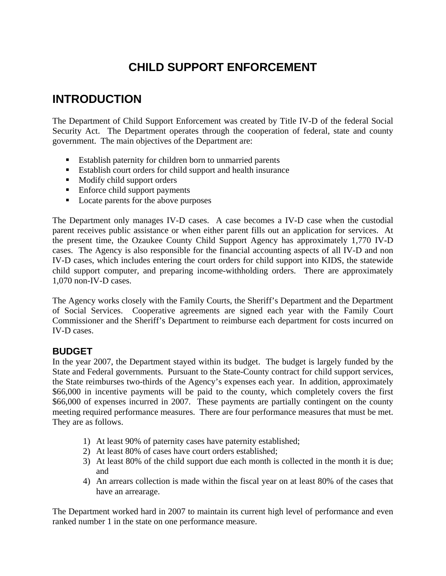# **CHILD SUPPORT ENFORCEMENT**

## **INTRODUCTION**

The Department of Child Support Enforcement was created by Title IV-D of the federal Social Security Act. The Department operates through the cooperation of federal, state and county government. The main objectives of the Department are:

- Establish paternity for children born to unmarried parents
- Establish court orders for child support and health insurance
- $\blacksquare$  Modify child support orders
- Enforce child support payments
- Locate parents for the above purposes

The Department only manages IV-D cases. A case becomes a IV-D case when the custodial parent receives public assistance or when either parent fills out an application for services. At the present time, the Ozaukee County Child Support Agency has approximately 1,770 IV-D cases. The Agency is also responsible for the financial accounting aspects of all IV-D and non IV-D cases, which includes entering the court orders for child support into KIDS, the statewide child support computer, and preparing income-withholding orders. There are approximately 1,070 non-IV-D cases.

The Agency works closely with the Family Courts, the Sheriff's Department and the Department of Social Services. Cooperative agreements are signed each year with the Family Court Commissioner and the Sheriff's Department to reimburse each department for costs incurred on IV-D cases.

## **BUDGET**

In the year 2007, the Department stayed within its budget. The budget is largely funded by the State and Federal governments. Pursuant to the State-County contract for child support services, the State reimburses two-thirds of the Agency's expenses each year. In addition, approximately \$66,000 in incentive payments will be paid to the county, which completely covers the first \$66,000 of expenses incurred in 2007. These payments are partially contingent on the county meeting required performance measures. There are four performance measures that must be met. They are as follows.

- 1) At least 90% of paternity cases have paternity established;
- 2) At least 80% of cases have court orders established;
- 3) At least 80% of the child support due each month is collected in the month it is due; and
- 4) An arrears collection is made within the fiscal year on at least 80% of the cases that have an arrearage.

The Department worked hard in 2007 to maintain its current high level of performance and even ranked number 1 in the state on one performance measure.